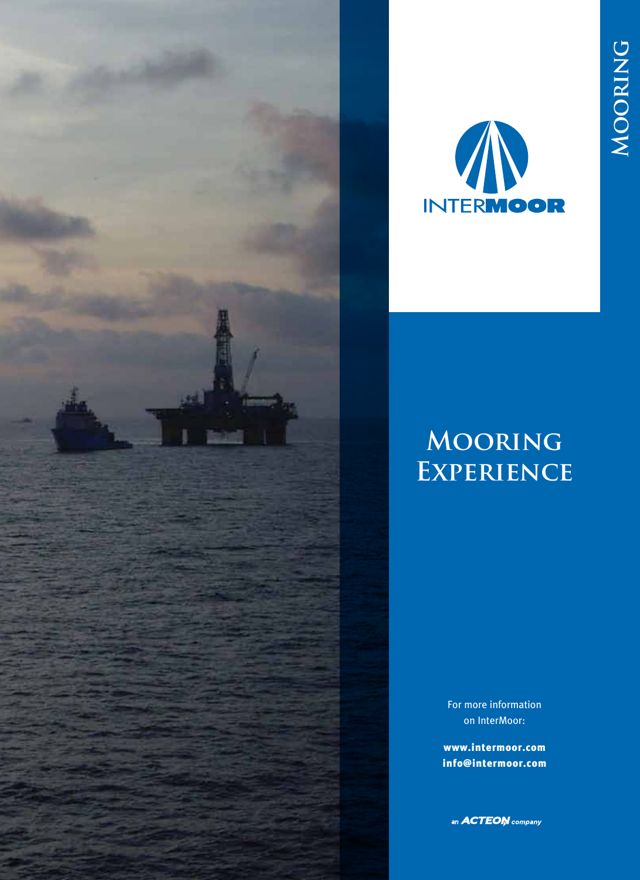



## **Mooring Experience**

For more information on InterMoor:

www.intermoor.com info@intermoor.com

an **ACTEON** company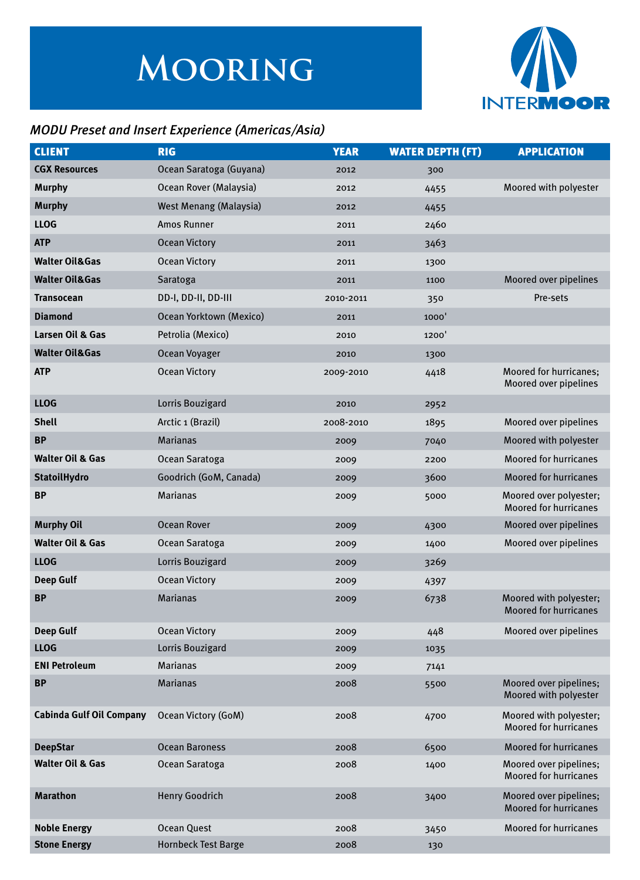# **Mooring**



## *MODU Preset and Insert Experience (Americas/Asia)*

| <b>CLIENT</b>                   | <b>RIG</b>                    | <b>YEAR</b> | <b>WATER DEPTH (FT)</b> | <b>APPLICATION</b>                                     |
|---------------------------------|-------------------------------|-------------|-------------------------|--------------------------------------------------------|
| <b>CGX Resources</b>            | Ocean Saratoga (Guyana)       | 2012        | 300                     |                                                        |
| <b>Murphy</b>                   | Ocean Rover (Malaysia)        | 2012        | 4455                    | Moored with polyester                                  |
| <b>Murphy</b>                   | <b>West Menang (Malaysia)</b> | 2012        | 4455                    |                                                        |
| <b>LLOG</b>                     | Amos Runner                   | 2011        | 2460                    |                                                        |
| <b>ATP</b>                      | <b>Ocean Victory</b>          | 2011        | 3463                    |                                                        |
| <b>Walter Oil&amp;Gas</b>       | <b>Ocean Victory</b>          | 2011        | 1300                    |                                                        |
| <b>Walter Oil&amp;Gas</b>       | Saratoga                      | 2011        | 1100                    | Moored over pipelines                                  |
| <b>Transocean</b>               | DD-I, DD-II, DD-III           | 2010-2011   | 350                     | Pre-sets                                               |
| <b>Diamond</b>                  | Ocean Yorktown (Mexico)       | 2011        | 1000                    |                                                        |
| Larsen Oil & Gas                | Petrolia (Mexico)             | 2010        | 1200 <sup>'</sup>       |                                                        |
| <b>Walter Oil&amp;Gas</b>       | Ocean Voyager                 | 2010        | 1300                    |                                                        |
| <b>ATP</b>                      | <b>Ocean Victory</b>          | 2009-2010   | 4418                    | Moored for hurricanes;<br>Moored over pipelines        |
| <b>LLOG</b>                     | Lorris Bouzigard              | 2010        | 2952                    |                                                        |
| <b>Shell</b>                    | Arctic 1 (Brazil)             | 2008-2010   | 1895                    | Moored over pipelines                                  |
| <b>BP</b>                       | <b>Marianas</b>               | 2009        | 7040                    | Moored with polyester                                  |
| <b>Walter Oil &amp; Gas</b>     | Ocean Saratoga                | 2009        | 2200                    | <b>Moored for hurricanes</b>                           |
| StatoilHydro                    | Goodrich (GoM, Canada)        | 2009        | 3600                    | <b>Moored for hurricanes</b>                           |
| <b>BP</b>                       | <b>Marianas</b>               | 2009        | 5000                    | Moored over polyester;<br><b>Moored for hurricanes</b> |
| <b>Murphy Oil</b>               | <b>Ocean Rover</b>            | 2009        | 4300                    | Moored over pipelines                                  |
| <b>Walter Oil &amp; Gas</b>     | Ocean Saratoga                | 2009        | 1400                    | Moored over pipelines                                  |
| <b>LLOG</b>                     | Lorris Bouzigard              | 2009        | 3269                    |                                                        |
| <b>Deep Gulf</b>                | <b>Ocean Victory</b>          | 2009        | 4397                    |                                                        |
| <b>BP</b>                       | <b>Marianas</b>               | 2009        | 6738                    | Moored with polyester;<br><b>Moored for hurricanes</b> |
| <b>Deep Gulf</b>                | <b>Ocean Victory</b>          | 2009        | 448                     | Moored over pipelines                                  |
| <b>LLOG</b>                     | Lorris Bouzigard              | 2009        | 1035                    |                                                        |
| <b>ENI Petroleum</b>            | <b>Marianas</b>               | 2009        | 7141                    |                                                        |
| <b>BP</b>                       | <b>Marianas</b>               | 2008        | 5500                    | Moored over pipelines;<br>Moored with polyester        |
| <b>Cabinda Gulf Oil Company</b> | Ocean Victory (GoM)           | 2008        | 4700                    | Moored with polyester;<br>Moored for hurricanes        |
| <b>DeepStar</b>                 | <b>Ocean Baroness</b>         | 2008        | 6500                    | <b>Moored for hurricanes</b>                           |
| <b>Walter Oil &amp; Gas</b>     | Ocean Saratoga                | 2008        | 1400                    | Moored over pipelines;<br><b>Moored for hurricanes</b> |
| <b>Marathon</b>                 | <b>Henry Goodrich</b>         | 2008        | 3400                    | Moored over pipelines;<br><b>Moored for hurricanes</b> |
| <b>Noble Energy</b>             | Ocean Quest                   | 2008        | 3450                    | <b>Moored for hurricanes</b>                           |
| <b>Stone Energy</b>             | Hornbeck Test Barge           | 2008        | 130                     |                                                        |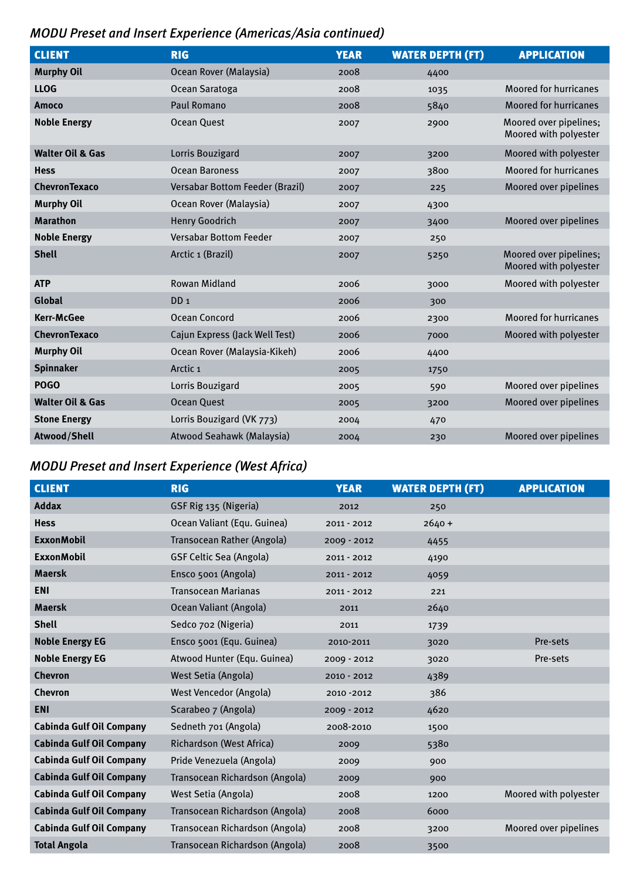## *MODU Preset and Insert Experience (Americas/Asia continued)*

| <b>CLIENT</b>               | <b>RIG</b>                      | <b>YEAR</b> | <b>WATER DEPTH (FT)</b> | <b>APPLICATION</b>                              |
|-----------------------------|---------------------------------|-------------|-------------------------|-------------------------------------------------|
| <b>Murphy Oil</b>           | Ocean Rover (Malaysia)          | 2008        | 4400                    |                                                 |
| <b>LLOG</b>                 | Ocean Saratoga                  | 2008        | 1035                    | <b>Moored for hurricanes</b>                    |
| <b>Amoco</b>                | <b>Paul Romano</b>              | 2008        | 5840                    | <b>Moored for hurricanes</b>                    |
| <b>Noble Energy</b>         | Ocean Quest                     | 2007        | 2900                    | Moored over pipelines;<br>Moored with polyester |
| <b>Walter Oil &amp; Gas</b> | Lorris Bouzigard                | 2007        | 3200                    | Moored with polyester                           |
| <b>Hess</b>                 | <b>Ocean Baroness</b>           | 2007        | 3800                    | Moored for hurricanes                           |
| <b>ChevronTexaco</b>        | Versabar Bottom Feeder (Brazil) | 2007        | 225                     | Moored over pipelines                           |
| <b>Murphy Oil</b>           | Ocean Rover (Malaysia)          | 2007        | 4300                    |                                                 |
| <b>Marathon</b>             | <b>Henry Goodrich</b>           | 2007        | 3400                    | Moored over pipelines                           |
| <b>Noble Energy</b>         | <b>Versabar Bottom Feeder</b>   | 2007        | 250                     |                                                 |
| <b>Shell</b>                | Arctic 1 (Brazil)               | 2007        | 5250                    | Moored over pipelines;<br>Moored with polyester |
| <b>ATP</b>                  | <b>Rowan Midland</b>            | 2006        | 3000                    | Moored with polyester                           |
| Global                      | DD <sub>1</sub>                 | 2006        | 300                     |                                                 |
| <b>Kerr-McGee</b>           | Ocean Concord                   | 2006        | 2300                    | Moored for hurricanes                           |
| <b>ChevronTexaco</b>        | Cajun Express (Jack Well Test)  | 2006        | 7000                    | Moored with polyester                           |
| <b>Murphy Oil</b>           | Ocean Rover (Malaysia-Kikeh)    | 2006        | 4400                    |                                                 |
| Spinnaker                   | Arctic <sub>1</sub>             | 2005        | 1750                    |                                                 |
| POGO                        | Lorris Bouzigard                | 2005        | 590                     | Moored over pipelines                           |
| <b>Walter Oil &amp; Gas</b> | <b>Ocean Quest</b>              | 2005        | 3200                    | Moored over pipelines                           |
| <b>Stone Energy</b>         | Lorris Bouzigard (VK 773)       | 2004        | 470                     |                                                 |
| Atwood/Shell                | Atwood Seahawk (Malaysia)       | 2004        | 230                     | Moored over pipelines                           |

## *MODU Preset and Insert Experience (West Africa)*

| <b>CLIENT</b>                   | <b>RIG</b>                     | <b>YEAR</b>   | <b>WATER DEPTH (FT)</b> | <b>APPLICATION</b>    |
|---------------------------------|--------------------------------|---------------|-------------------------|-----------------------|
| <b>Addax</b>                    | GSF Rig 135 (Nigeria)          | 2012          | 250                     |                       |
| <b>Hess</b>                     | Ocean Valiant (Equ. Guinea)    | $2011 - 2012$ | $2640 +$                |                       |
| <b>ExxonMobil</b>               | Transocean Rather (Angola)     | $2009 - 2012$ | 4455                    |                       |
| <b>ExxonMobil</b>               | <b>GSF Celtic Sea (Angola)</b> | $2011 - 2012$ | 4190                    |                       |
| <b>Maersk</b>                   | Ensco 5001 (Angola)            | $2011 - 2012$ | 4059                    |                       |
| <b>ENI</b>                      | <b>Transocean Marianas</b>     | $2011 - 2012$ | 221                     |                       |
| <b>Maersk</b>                   | Ocean Valiant (Angola)         | 2011          | 2640                    |                       |
| <b>Shell</b>                    | Sedco 702 (Nigeria)            | 2011          | 1739                    |                       |
| <b>Noble Energy EG</b>          | Ensco 5001 (Equ. Guinea)       | 2010-2011     | 3020                    | Pre-sets              |
| <b>Noble Energy EG</b>          | Atwood Hunter (Equ. Guinea)    | 2009 - 2012   | 3020                    | Pre-sets              |
| <b>Chevron</b>                  | West Setia (Angola)            | $2010 - 2012$ | 4389                    |                       |
| <b>Chevron</b>                  | West Vencedor (Angola)         | 2010 - 2012   | 386                     |                       |
| <b>ENI</b>                      | Scarabeo 7 (Angola)            | $2009 - 2012$ | 4620                    |                       |
| <b>Cabinda Gulf Oil Company</b> | Sedneth 701 (Angola)           | 2008-2010     | 1500                    |                       |
| <b>Cabinda Gulf Oil Company</b> | Richardson (West Africa)       | 2009          | 5380                    |                       |
| <b>Cabinda Gulf Oil Company</b> | Pride Venezuela (Angola)       | 2009          | 900                     |                       |
| <b>Cabinda Gulf Oil Company</b> | Transocean Richardson (Angola) | 2009          | 900                     |                       |
| <b>Cabinda Gulf Oil Company</b> | West Setia (Angola)            | 2008          | 1200                    | Moored with polyester |
| <b>Cabinda Gulf Oil Company</b> | Transocean Richardson (Angola) | 2008          | 6000                    |                       |
| <b>Cabinda Gulf Oil Company</b> | Transocean Richardson (Angola) | 2008          | 3200                    | Moored over pipelines |
| <b>Total Angola</b>             | Transocean Richardson (Angola) | 2008          | 3500                    |                       |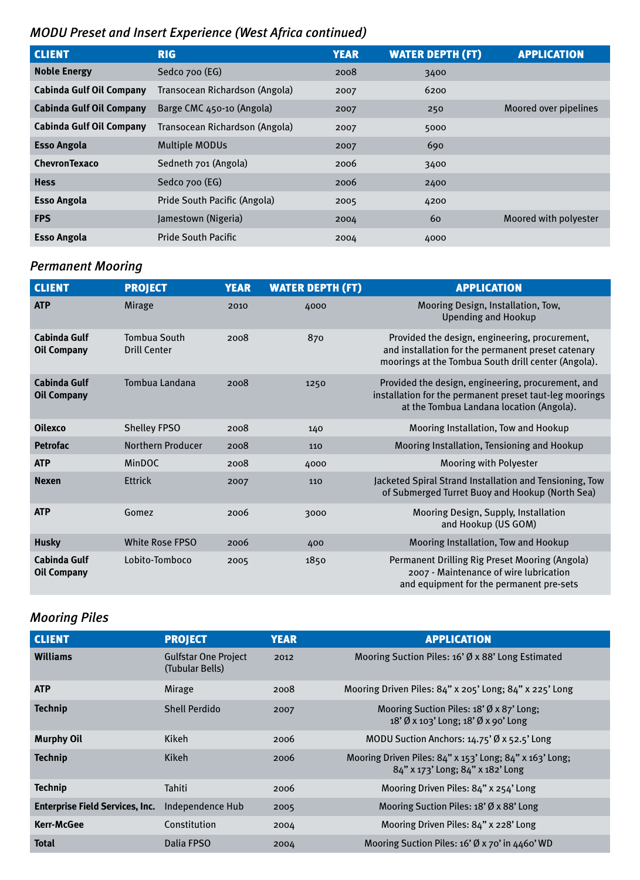## *MODU Preset and Insert Experience (West Africa continued)*

| <b>CLIENT</b>                   | <b>RIG</b>                     | <b>YEAR</b> | <b>WATER DEPTH (FT)</b> | <b>APPLICATION</b>    |
|---------------------------------|--------------------------------|-------------|-------------------------|-----------------------|
| <b>Noble Energy</b>             | Sedco 700 (EG)                 | 2008        | 3400                    |                       |
| <b>Cabinda Gulf Oil Company</b> | Transocean Richardson (Angola) | 2007        | 6200                    |                       |
| <b>Cabinda Gulf Oil Company</b> | Barge CMC 450-10 (Angola)      | 2007        | 250                     | Moored over pipelines |
| <b>Cabinda Gulf Oil Company</b> | Transocean Richardson (Angola) | 2007        | 5000                    |                       |
| <b>Esso Angola</b>              | <b>Multiple MODUs</b>          | 2007        | 690                     |                       |
| ChevronTexaco                   | Sedneth 701 (Angola)           | 2006        | 3400                    |                       |
| <b>Hess</b>                     | Sedco 700 (EG)                 | 2006        | 2400                    |                       |
| <b>Esso Angola</b>              | Pride South Pacific (Angola)   | 2005        | 4200                    |                       |
| <b>FPS</b>                      | Jamestown (Nigeria)            | 2004        | 60                      | Moored with polyester |
| <b>Esso Angola</b>              | <b>Pride South Pacific</b>     | 2004        | 4000                    |                       |

## *Permanent Mooring*

| <b>CLIENT</b>                      | <b>PROJECT</b>                      | <b>YEAR</b> | <b>WATER DEPTH (FT)</b> | <b>APPLICATION</b>                                                                                                                                          |
|------------------------------------|-------------------------------------|-------------|-------------------------|-------------------------------------------------------------------------------------------------------------------------------------------------------------|
| <b>ATP</b>                         | Mirage                              | 2010        | 4000                    | Mooring Design, Installation, Tow,<br><b>Upending and Hookup</b>                                                                                            |
| Cabinda Gulf<br><b>Oil Company</b> | Tombua South<br><b>Drill Center</b> | 2008        | 870                     | Provided the design, engineering, procurement,<br>and installation for the permanent preset catenary<br>moorings at the Tombua South drill center (Angola). |
| Cabinda Gulf<br><b>Oil Company</b> | Tombua Landana                      | 2008        | 1250                    | Provided the design, engineering, procurement, and<br>installation for the permanent preset taut-leg moorings<br>at the Tombua Landana location (Angola).   |
| <b>Oilexco</b>                     | <b>Shelley FPSO</b>                 | 2008        | 140                     | Mooring Installation, Tow and Hookup                                                                                                                        |
| <b>Petrofac</b>                    | <b>Northern Producer</b>            | 2008        | 110                     | Mooring Installation, Tensioning and Hookup                                                                                                                 |
| <b>ATP</b>                         | MinDOC                              | 2008        | 4000                    | Mooring with Polyester                                                                                                                                      |
| <b>Nexen</b>                       | <b>Ettrick</b>                      | 2007        | 110                     | Jacketed Spiral Strand Installation and Tensioning, Tow<br>of Submerged Turret Buoy and Hookup (North Sea)                                                  |
| <b>ATP</b>                         | Gomez                               | 2006        | 3000                    | Mooring Design, Supply, Installation<br>and Hookup (US GOM)                                                                                                 |
| <b>Husky</b>                       | <b>White Rose FPSO</b>              | 2006        | 400                     | Mooring Installation, Tow and Hookup                                                                                                                        |
| Cabinda Gulf<br><b>Oil Company</b> | Lobito-Tomboco                      | 2005        | 1850                    | Permanent Drilling Rig Preset Mooring (Angola)<br>2007 - Maintenance of wire lubrication<br>and equipment for the permanent pre-sets                        |

## *Mooring Piles*

| <b>CLIENT</b>                          | <b>PROJECT</b>                                 | <b>YEAR</b> | <b>APPLICATION</b>                                                                          |
|----------------------------------------|------------------------------------------------|-------------|---------------------------------------------------------------------------------------------|
| <b>Williams</b>                        | <b>Gulfstar One Project</b><br>(Tubular Bells) | 2012        | Mooring Suction Piles: 16' Ø x 88' Long Estimated                                           |
| <b>ATP</b>                             | Mirage                                         | 2008        | Mooring Driven Piles: 84" x 205' Long; 84" x 225' Long                                      |
| <b>Technip</b>                         | <b>Shell Perdido</b>                           | 2007        | Mooring Suction Piles: $18'$ Ø x $87'$ Long;<br>18' Ø x 103' Long; 18' Ø x 90' Long         |
| <b>Murphy Oil</b>                      | Kikeh                                          | 2006        | MODU Suction Anchors: 14.75' Ø x 52.5' Long                                                 |
| <b>Technip</b>                         | Kikeh                                          | 2006        | Mooring Driven Piles: 84" x 153' Long; 84" x 163' Long;<br>84" x 173' Long; 84" x 182' Long |
| <b>Technip</b>                         | Tahiti                                         | 2006        | Mooring Driven Piles: 84" x 254' Long                                                       |
| <b>Enterprise Field Services, Inc.</b> | Independence Hub                               | 2005        | Mooring Suction Piles: 18' Ø x 88' Long                                                     |
| <b>Kerr-McGee</b>                      | Constitution                                   | 2004        | Mooring Driven Piles: 84" x 228' Long                                                       |
| <b>Total</b>                           | Dalia FPSO                                     | 2004        | Mooring Suction Piles: $16'$ Ø x $70'$ in $4460'$ WD                                        |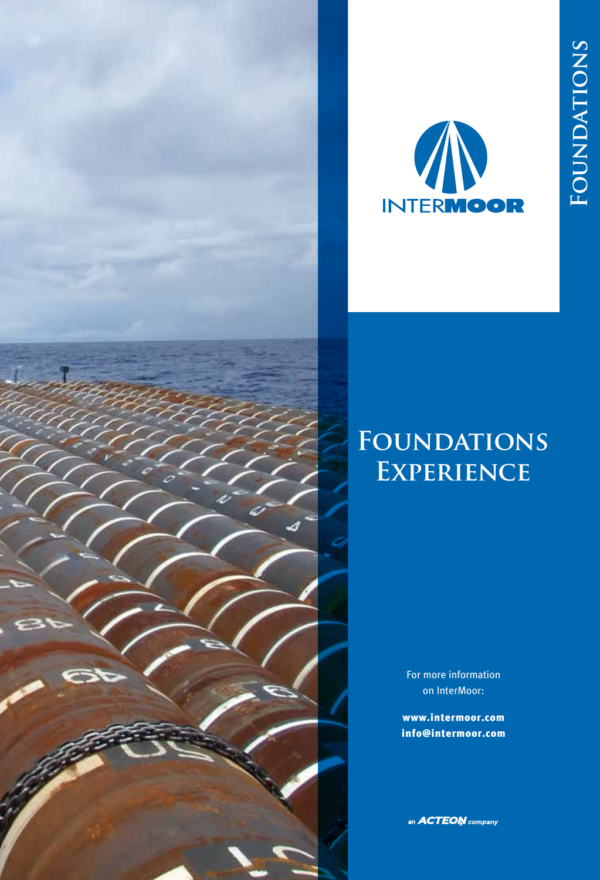



## **Foundations Experience**

For more information on InterMoor:

www.intermoor.com info@intermoor.com

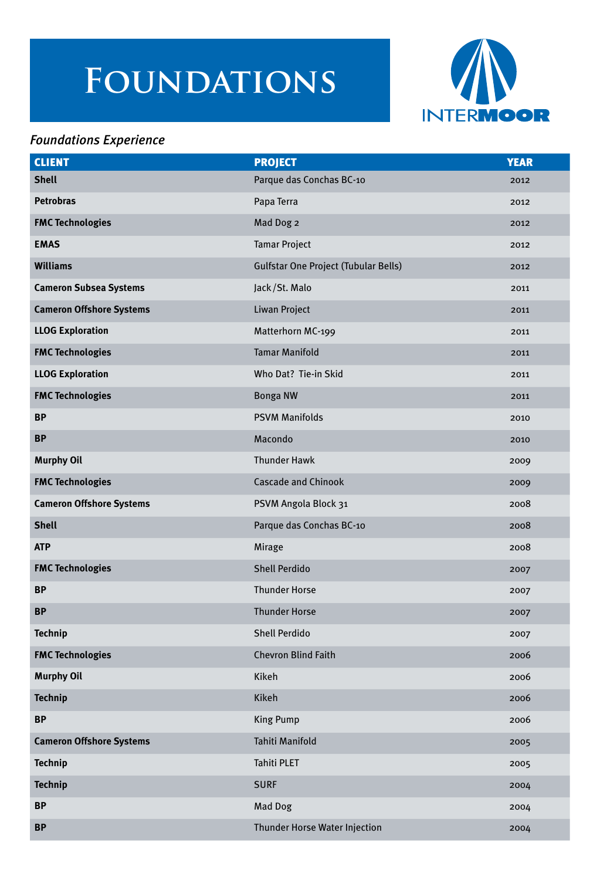## **FOUNDATIONS**



#### *Foundations Experience*

| <b>CLIENT</b>                   | <b>PROJECT</b>                       | <b>YEAR</b> |
|---------------------------------|--------------------------------------|-------------|
| <b>Shell</b>                    | Parque das Conchas BC-10             | 2012        |
| <b>Petrobras</b>                | Papa Terra                           | 2012        |
| <b>FMC Technologies</b>         | Mad Dog 2                            | 2012        |
| <b>EMAS</b>                     | <b>Tamar Project</b>                 | 2012        |
| <b>Williams</b>                 | Gulfstar One Project (Tubular Bells) | 2012        |
| <b>Cameron Subsea Systems</b>   | Jack / St. Malo                      | 2011        |
| <b>Cameron Offshore Systems</b> | Liwan Project                        | 2011        |
| <b>LLOG Exploration</b>         | Matterhorn MC-199                    | 2011        |
| <b>FMC Technologies</b>         | <b>Tamar Manifold</b>                | 2011        |
| <b>LLOG Exploration</b>         | Who Dat? Tie-in Skid                 | 2011        |
| <b>FMC Technologies</b>         | <b>Bonga NW</b>                      | 2011        |
| <b>BP</b>                       | <b>PSVM Manifolds</b>                | 2010        |
| <b>BP</b>                       | Macondo                              | 2010        |
| <b>Murphy Oil</b>               | <b>Thunder Hawk</b>                  | 2009        |
| <b>FMC Technologies</b>         | <b>Cascade and Chinook</b>           | 2009        |
| <b>Cameron Offshore Systems</b> | PSVM Angola Block 31                 | 2008        |
| <b>Shell</b>                    | Parque das Conchas BC-10             | 2008        |
| <b>ATP</b>                      | Mirage                               | 2008        |
| <b>FMC Technologies</b>         | <b>Shell Perdido</b>                 | 2007        |
| <b>BP</b>                       | <b>Thunder Horse</b>                 | 2007        |
| <b>BP</b>                       | <b>Thunder Horse</b>                 | 2007        |
| <b>Technip</b>                  | <b>Shell Perdido</b>                 | 2007        |
| <b>FMC Technologies</b>         | <b>Chevron Blind Faith</b>           | 2006        |
| <b>Murphy Oil</b>               | Kikeh                                | 2006        |
| <b>Technip</b>                  | Kikeh                                | 2006        |
| <b>BP</b>                       | <b>King Pump</b>                     | 2006        |
| <b>Cameron Offshore Systems</b> | Tahiti Manifold                      | 2005        |
| <b>Technip</b>                  | Tahiti PLET                          | 2005        |
| <b>Technip</b>                  | <b>SURF</b>                          | 2004        |
| <b>BP</b>                       | Mad Dog                              | 2004        |
| <b>BP</b>                       | Thunder Horse Water Injection        | 2004        |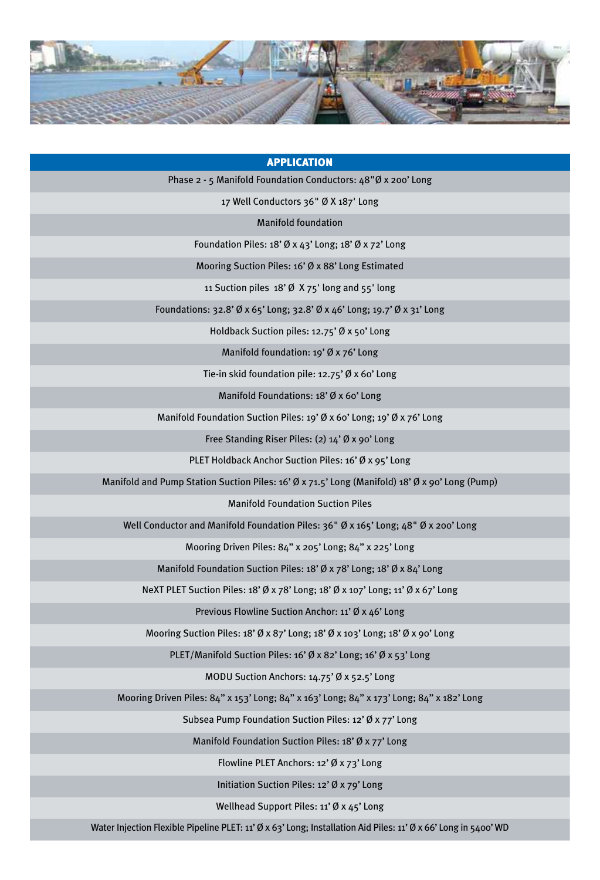

| <b>APPLICATION</b>                                                                             |
|------------------------------------------------------------------------------------------------|
| Phase 2 - 5 Manifold Foundation Conductors: 48"Ø x 200' Long                                   |
| 17 Well Conductors 36" Ø X 187' Long                                                           |
| <b>Manifold foundation</b>                                                                     |
| Foundation Piles: 18' Ø x 43' Long; 18' Ø x 72' Long                                           |
| Mooring Suction Piles: 16' Ø x 88' Long Estimated                                              |
| 11 Suction piles 18' Ø X 75' long and 55' long                                                 |
| Foundations: 32.8' Ø x 65' Long; 32.8' Ø x 46' Long; 19.7' Ø x 31' Long                        |
| Holdback Suction piles: 12.75' Ø x 50' Long                                                    |
| Manifold foundation: 19' Ø x 76' Long                                                          |
| Tie-in skid foundation pile: 12.75' Ø x 60' Long                                               |
| Manifold Foundations: 18' Ø x 60' Long                                                         |
| Manifold Foundation Suction Piles: 19' Ø x 60' Long; 19' Ø x 76' Long                          |
| Free Standing Riser Piles: (2) 14' Ø x 90' Long                                                |
| PLET Holdback Anchor Suction Piles: 16' Ø x 95' Long                                           |
| Manifold and Pump Station Suction Piles: 16' Ø x 71.5' Long (Manifold) 18' Ø x 90' Long (Pump) |
| <b>Manifold Foundation Suction Piles</b>                                                       |
| Well Conductor and Manifold Foundation Piles: 36" Ø x 165' Long; 48" Ø x 200' Long             |
| Mooring Driven Piles: 84" x 205' Long; 84" x 225' Long                                         |
| Manifold Foundation Suction Piles: 18' Ø x 78' Long; 18' Ø x 84' Long                          |
| NeXT PLET Suction Piles: 18' Ø x 78' Long; 18' Ø x 107' Long; 11' Ø x 67' Long                 |
| Previous Flowline Suction Anchor: 11' Ø x 46' Long                                             |
| Mooring Suction Piles: 18' Ø x 87' Long; 18' Ø x 103' Long; 18' Ø x 90' Long                   |
| PLET/Manifold Suction Piles: 16' Ø x 82' Long; 16' Ø x 53' Long                                |
| MODU Suction Anchors: 14.75' Ø x 52.5' Long                                                    |
| Mooring Driven Piles: 84" x 153' Long; 84" x 163' Long; 84" x 173' Long; 84" x 182' Long       |
| Subsea Pump Foundation Suction Piles: 12' Ø x 77' Long                                         |
| Manifold Foundation Suction Piles: 18' Ø x 77' Long                                            |
| Flowline PLET Anchors: 12' Ø x 73' Long                                                        |
| Initiation Suction Piles: 12' Ø x 79' Long                                                     |
| Wellhead Support Piles: 11' Ø x 45' Long                                                       |

Water Injection Flexible Pipeline PLET: 11' Ø x 63' Long; Installation Aid Piles: 11' Ø x 66' Long in 5400' WD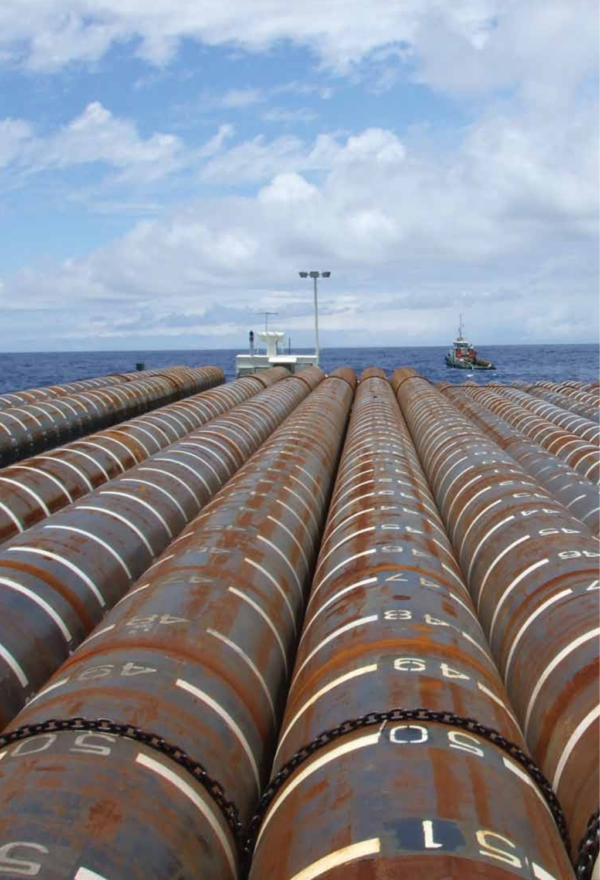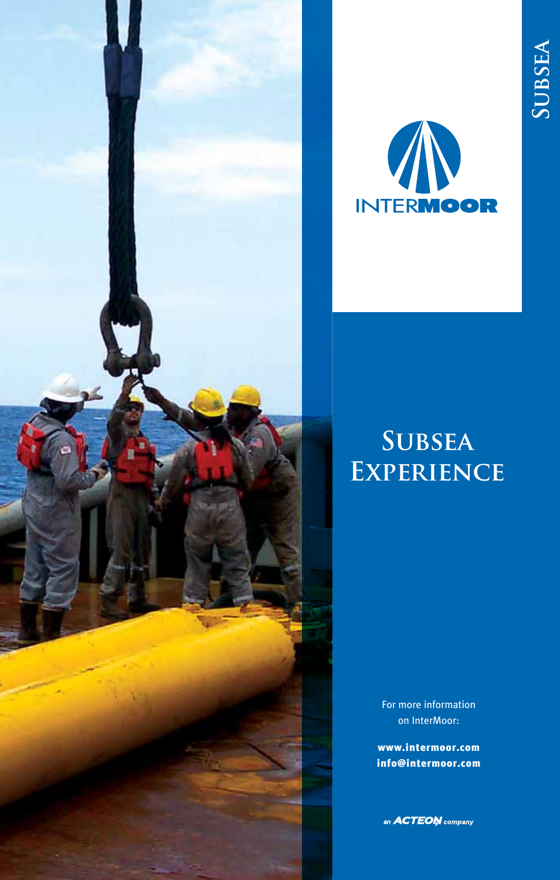



## **Subsea Experience**

For more information on InterMoor:

www.intermoor.com info@intermoor.com

an **ACTEOM** company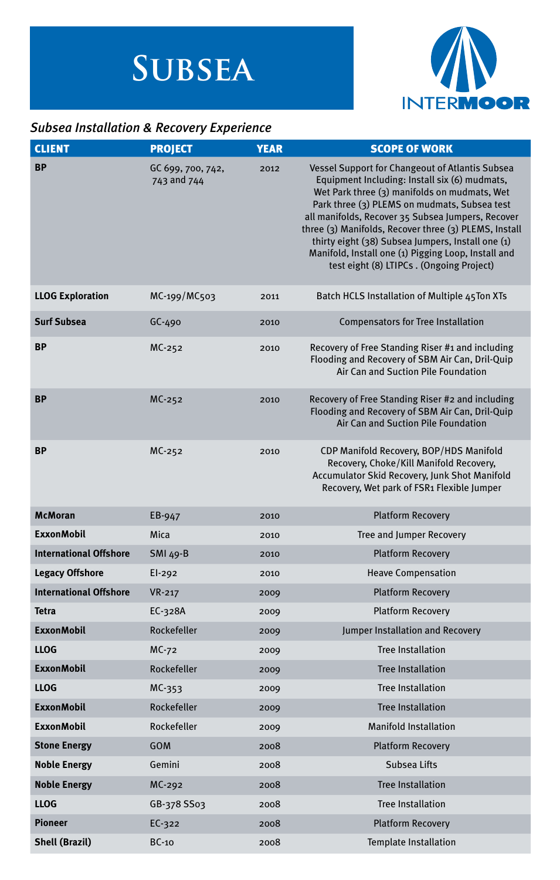

## *Subsea Installation & Recovery Experience*

| <b>CLIENT</b>                 | <b>PROJECT</b>                   | <b>YEAR</b> | <b>SCOPE OF WORK</b>                                                                                                                                                                                                                                                                                                                                                                                                                                                   |
|-------------------------------|----------------------------------|-------------|------------------------------------------------------------------------------------------------------------------------------------------------------------------------------------------------------------------------------------------------------------------------------------------------------------------------------------------------------------------------------------------------------------------------------------------------------------------------|
| <b>BP</b>                     | GC 699, 700, 742,<br>743 and 744 | 2012        | Vessel Support for Changeout of Atlantis Subsea<br>Equipment Including: Install six (6) mudmats,<br>Wet Park three (3) manifolds on mudmats, Wet<br>Park three (3) PLEMS on mudmats, Subsea test<br>all manifolds, Recover 35 Subsea Jumpers, Recover<br>three (3) Manifolds, Recover three (3) PLEMS, Install<br>thirty eight (38) Subsea Jumpers, Install one (1)<br>Manifold, Install one (1) Pigging Loop, Install and<br>test eight (8) LTIPCs. (Ongoing Project) |
| <b>LLOG Exploration</b>       | MC-199/MC503                     | 2011        | Batch HCLS Installation of Multiple 45 Ton XTs                                                                                                                                                                                                                                                                                                                                                                                                                         |
| <b>Surf Subsea</b>            | $GC-490$                         | 2010        | <b>Compensators for Tree Installation</b>                                                                                                                                                                                                                                                                                                                                                                                                                              |
| <b>BP</b>                     | $MC-252$                         | 2010        | Recovery of Free Standing Riser #1 and including<br>Flooding and Recovery of SBM Air Can, Dril-Quip<br>Air Can and Suction Pile Foundation                                                                                                                                                                                                                                                                                                                             |
| <b>BP</b>                     | MC-252                           | 2010        | Recovery of Free Standing Riser #2 and including<br>Flooding and Recovery of SBM Air Can, Dril-Quip<br>Air Can and Suction Pile Foundation                                                                                                                                                                                                                                                                                                                             |
| <b>BP</b>                     | MC-252                           | 2010        | CDP Manifold Recovery, BOP/HDS Manifold<br>Recovery, Choke/Kill Manifold Recovery,<br>Accumulator Skid Recovery, Junk Shot Manifold<br>Recovery, Wet park of FSR1 Flexible Jumper                                                                                                                                                                                                                                                                                      |
| <b>McMoran</b>                | EB-947                           | 2010        | <b>Platform Recovery</b>                                                                                                                                                                                                                                                                                                                                                                                                                                               |
| <b>ExxonMobil</b>             | Mica                             | 2010        | Tree and Jumper Recovery                                                                                                                                                                                                                                                                                                                                                                                                                                               |
| <b>International Offshore</b> | <b>SMI 49-B</b>                  | 2010        | <b>Platform Recovery</b>                                                                                                                                                                                                                                                                                                                                                                                                                                               |
| <b>Legacy Offshore</b>        | El-292                           | 2010        | <b>Heave Compensation</b>                                                                                                                                                                                                                                                                                                                                                                                                                                              |
| <b>International Offshore</b> | <b>VR-217</b>                    | 2009        | <b>Platform Recovery</b>                                                                                                                                                                                                                                                                                                                                                                                                                                               |
| <b>Tetra</b>                  | EC-328A                          | 2009        | <b>Platform Recovery</b>                                                                                                                                                                                                                                                                                                                                                                                                                                               |
| <b>ExxonMobil</b>             | Rockefeller                      | 2009        | Jumper Installation and Recovery                                                                                                                                                                                                                                                                                                                                                                                                                                       |
| <b>LLOG</b>                   | $MC-72$                          | 2009        | <b>Tree Installation</b>                                                                                                                                                                                                                                                                                                                                                                                                                                               |
| <b>ExxonMobil</b>             | Rockefeller                      | 2009        | <b>Tree Installation</b>                                                                                                                                                                                                                                                                                                                                                                                                                                               |
| <b>LLOG</b>                   | MC-353                           | 2009        | <b>Tree Installation</b>                                                                                                                                                                                                                                                                                                                                                                                                                                               |
| <b>ExxonMobil</b>             | Rockefeller                      | 2009        | <b>Tree Installation</b>                                                                                                                                                                                                                                                                                                                                                                                                                                               |
| <b>ExxonMobil</b>             | Rockefeller                      | 2009        | <b>Manifold Installation</b>                                                                                                                                                                                                                                                                                                                                                                                                                                           |
| <b>Stone Energy</b>           | GOM                              | 2008        | <b>Platform Recovery</b>                                                                                                                                                                                                                                                                                                                                                                                                                                               |
| <b>Noble Energy</b>           | Gemini                           | 2008        | Subsea Lifts                                                                                                                                                                                                                                                                                                                                                                                                                                                           |
| <b>Noble Energy</b>           | MC-292                           | 2008        | <b>Tree Installation</b>                                                                                                                                                                                                                                                                                                                                                                                                                                               |
| <b>LLOG</b>                   | GB-378 SS03                      | 2008        | <b>Tree Installation</b>                                                                                                                                                                                                                                                                                                                                                                                                                                               |
| <b>Pioneer</b>                | $EC-322$                         | 2008        | <b>Platform Recovery</b>                                                                                                                                                                                                                                                                                                                                                                                                                                               |
| <b>Shell (Brazil)</b>         | <b>BC-10</b>                     | 2008        | <b>Template Installation</b>                                                                                                                                                                                                                                                                                                                                                                                                                                           |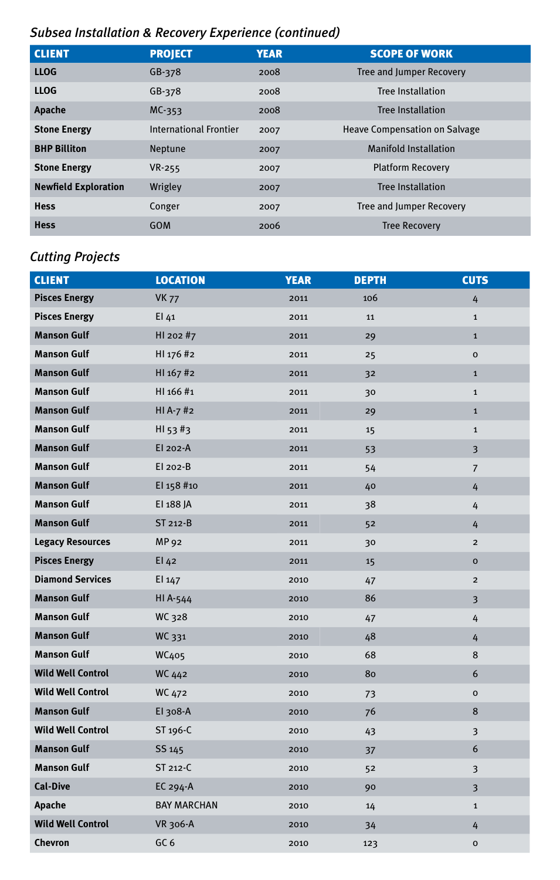## *Subsea Installation & Recovery Experience (continued)*

| <b>CLIENT</b>               | <b>PROJECT</b>                | <b>YEAR</b> | <b>SCOPE OF WORK</b>                 |
|-----------------------------|-------------------------------|-------------|--------------------------------------|
| <b>LLOG</b>                 | $GB-378$                      | 2008        | Tree and Jumper Recovery             |
| <b>LLOG</b>                 | $GB-378$                      | 2008        | <b>Tree Installation</b>             |
| Apache                      | $MC-353$                      | 2008        | <b>Tree Installation</b>             |
| <b>Stone Energy</b>         | <b>International Frontier</b> | 2007        | <b>Heave Compensation on Salvage</b> |
| <b>BHP Billiton</b>         | Neptune                       | 2007        | <b>Manifold Installation</b>         |
| <b>Stone Energy</b>         | $VR-255$                      | 2007        | <b>Platform Recovery</b>             |
| <b>Newfield Exploration</b> | Wrigley                       | 2007        | <b>Tree Installation</b>             |
| <b>Hess</b>                 | Conger                        | 2007        | Tree and Jumper Recovery             |
| <b>Hess</b>                 | <b>GOM</b>                    | 2006        | <b>Tree Recovery</b>                 |

## *Cutting Projects*

| <b>CLIENT</b>            | <b>LOCATION</b>    | <b>YEAR</b> | <b>DEPTH</b>   | <b>CUTS</b>             |
|--------------------------|--------------------|-------------|----------------|-------------------------|
| Pisces Energy            | <b>VK 77</b>       | 2011        | 106            | 4                       |
| <b>Pisces Energy</b>     | EI 41              | 2011        | 11             | $\mathbf{1}$            |
| Manson Gulf              | HI 202 #7          | 2011        | 29             | $\mathbf{1}$            |
| <b>Manson Gulf</b>       | HI 176 #2          | 2011        | 25             | $\mathbf{o}$            |
| <b>Manson Gulf</b>       | HI 167 #2          | 2011        | 32             | $\mathbf{1}$            |
| Manson Gulf              | HI 166 #1          | 2011        | 30             | $\mathbf{1}$            |
| <b>Manson Gulf</b>       | HI A-7#2           | 2011        | 29             | $\mathbf{1}$            |
| <b>Manson Gulf</b>       | HI 53 #3           | 2011        | 15             | $\mathbf{1}$            |
| Manson Gulf              | EI 202-A           | 2011        | 53             | 3                       |
| <b>Manson Gulf</b>       | EI 202-B           | 2011        | 54             | $\overline{7}$          |
| <b>Manson Gulf</b>       | El 158 #10         | 2011        | 40             | 4                       |
| <b>Manson Gulf</b>       | EI 188 JA          | 2011        | 38             | 4                       |
| <b>Manson Gulf</b>       | ST 212-B           | 2011        | 5 <sup>2</sup> | 4                       |
| <b>Legacy Resources</b>  | MP 92              | 2011        | 30             | $\overline{2}$          |
| <b>Pisces Energy</b>     | EI 42              | 2011        | 15             | $\mathbf 0$             |
| <b>Diamond Services</b>  | EI 147             | 2010        | 47             | $\overline{2}$          |
| <b>Manson Gulf</b>       | HI A-544           | 2010        | 86             | $\overline{\mathbf{3}}$ |
| Manson Gulf              | WC 328             | 2010        | 47             | $\sqrt{4}$              |
| Manson Gulf              | WC 331             | 2010        | 48             | 4                       |
| Manson Gulf              | <b>WC405</b>       | 2010        | 68             | 8                       |
| <b>Wild Well Control</b> | <b>WC 442</b>      | 2010        | 80             | 6                       |
| <b>Wild Well Control</b> | <b>WC 472</b>      | 2010        | 73             | $\mathsf{o}$            |
| Manson Gulf              | El 308-A           | 2010        | 76             | 8                       |
| <b>Wild Well Control</b> | ST 196-C           | 2010        | 43             | 3                       |
| <b>Manson Gulf</b>       | SS 145             | 2010        | 37             | $\boldsymbol{6}$        |
| <b>Manson Gulf</b>       | ST 212-C           | 2010        | 5 <sup>2</sup> | $\overline{\mathbf{3}}$ |
| <b>Cal-Dive</b>          | EC 294-A           | 2010        | 90             | $\overline{\mathbf{3}}$ |
| Apache                   | <b>BAY MARCHAN</b> | 2010        | 14             | $\mathbf{1}$            |
| <b>Wild Well Control</b> | VR 306-A           | 2010        | 34             | 4                       |
| Chevron                  | GC <sub>6</sub>    | 2010        | 123            | $\mathbf 0$             |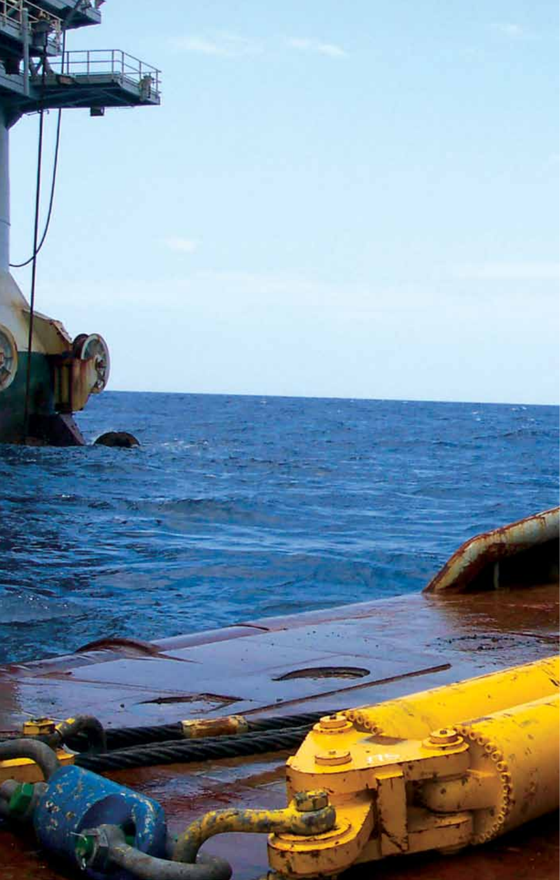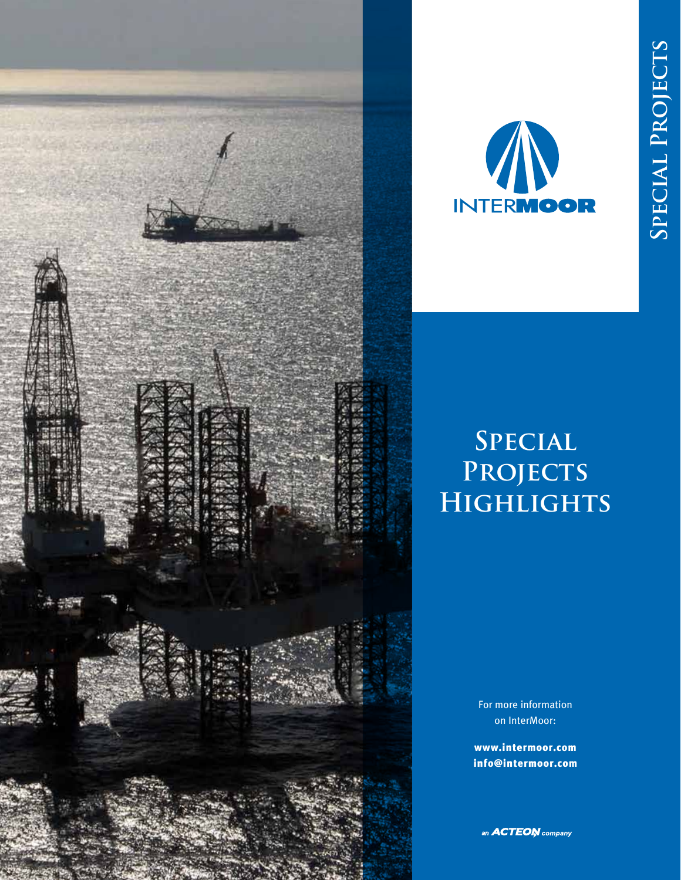



# SPECIAL PROJECTS **Special Projects**

## **Special** PROJECTS **Highlights**

For more information on InterMoor:

www.intermoor.com info@intermoor.com

an **ACTEON** company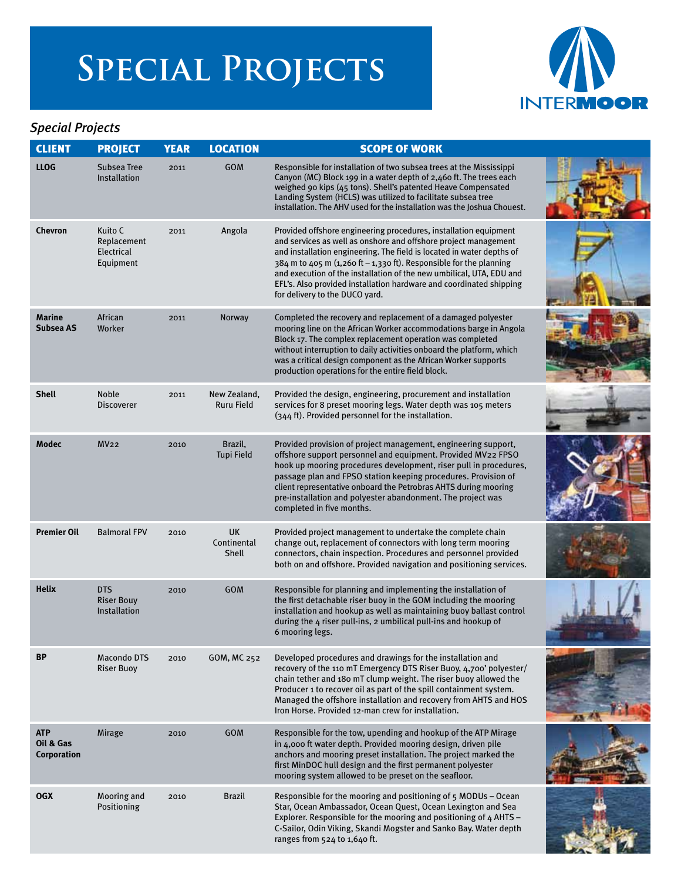# SPECIAL PROJECTS



#### *Special Projects*

| <b>CLIENT</b>                          | <b>PROJECT</b>                                         | <b>YEAR</b> | <b>LOCATION</b>                   | <b>SCOPE OF WORK</b>                                                                                                                                                                                                                                                                                                                                                                                                                                                |  |
|----------------------------------------|--------------------------------------------------------|-------------|-----------------------------------|---------------------------------------------------------------------------------------------------------------------------------------------------------------------------------------------------------------------------------------------------------------------------------------------------------------------------------------------------------------------------------------------------------------------------------------------------------------------|--|
| <b>LLOG</b>                            | Subsea Tree<br><b>Installation</b>                     | 2011        | <b>GOM</b>                        | Responsible for installation of two subsea trees at the Mississippi<br>Canyon (MC) Block 199 in a water depth of 2,460 ft. The trees each<br>weighed 90 kips (45 tons). Shell's patented Heave Compensated<br>Landing System (HCLS) was utilized to facilitate subsea tree<br>installation. The AHV used for the installation was the Joshua Chouest.                                                                                                               |  |
| <b>Chevron</b>                         | Kuito C<br>Replacement<br>Electrical<br>Equipment      | 2011        | Angola                            | Provided offshore engineering procedures, installation equipment<br>and services as well as onshore and offshore project management<br>and installation engineering. The field is located in water depths of<br>384 m to 405 m (1,260 ft - 1,330 ft). Responsible for the planning<br>and execution of the installation of the new umbilical, UTA, EDU and<br>EFL's. Also provided installation hardware and coordinated shipping<br>for delivery to the DUCO yard. |  |
| <b>Marine</b><br>Subsea AS             | African<br>Worker                                      | 2011        | Norway                            | Completed the recovery and replacement of a damaged polyester<br>mooring line on the African Worker accommodations barge in Angola<br>Block 17. The complex replacement operation was completed<br>without interruption to daily activities onboard the platform, which<br>was a critical design component as the African Worker supports<br>production operations for the entire field block.                                                                      |  |
| Shell                                  | <b>Noble</b><br><b>Discoverer</b>                      | 2011        | New Zealand,<br><b>Ruru Field</b> | Provided the design, engineering, procurement and installation<br>services for 8 preset mooring legs. Water depth was 105 meters<br>(344 ft). Provided personnel for the installation.                                                                                                                                                                                                                                                                              |  |
| <b>Modec</b>                           | MV <sub>22</sub>                                       | 2010        | Brazil,<br><b>Tupi Field</b>      | Provided provision of project management, engineering support,<br>offshore support personnel and equipment. Provided MV22 FPSO<br>hook up mooring procedures development, riser pull in procedures,<br>passage plan and FPSO station keeping procedures. Provision of<br>client representative onboard the Petrobras AHTS during mooring<br>pre-installation and polyester abandonment. The project was<br>completed in five months.                                |  |
| <b>Premier Oil</b>                     | <b>Balmoral FPV</b>                                    | 2010        | <b>UK</b><br>Continental<br>Shell | Provided project management to undertake the complete chain<br>change out, replacement of connectors with long term mooring<br>connectors, chain inspection. Procedures and personnel provided<br>both on and offshore. Provided navigation and positioning services.                                                                                                                                                                                               |  |
| <b>Helix</b>                           | <b>DTS</b><br><b>Riser Bouy</b><br><b>Installation</b> | 2010        | <b>GOM</b>                        | Responsible for planning and implementing the installation of<br>the first detachable riser buoy in the GOM including the mooring<br>installation and hookup as well as maintaining buoy ballast control<br>during the 4 riser pull-ins, 2 umbilical pull-ins and hookup of<br>6 mooring legs.                                                                                                                                                                      |  |
| <b>BP</b>                              | <b>Macondo DTS</b><br><b>Riser Buoy</b>                | 2010        | GOM, MC 252                       | Developed procedures and drawings for the installation and<br>recovery of the 110 mT Emergency DTS Riser Buoy, 4,700' polyester/<br>chain tether and 180 mT clump weight. The riser buoy allowed the<br>Producer 1 to recover oil as part of the spill containment system.<br>Managed the offshore installation and recovery from AHTS and HOS<br>Iron Horse. Provided 12-man crew for installation.                                                                |  |
| <b>ATP</b><br>Oil & Gas<br>Corporation | Mirage                                                 | 2010        | <b>GOM</b>                        | Responsible for the tow, upending and hookup of the ATP Mirage<br>in 4,000 ft water depth. Provided mooring design, driven pile<br>anchors and mooring preset installation. The project marked the<br>first MinDOC hull design and the first permanent polyester<br>mooring system allowed to be preset on the seafloor.                                                                                                                                            |  |
| <b>OGX</b>                             | Mooring and<br>Positioning                             | 2010        | <b>Brazil</b>                     | Responsible for the mooring and positioning of 5 MODUs - Ocean<br>Star, Ocean Ambassador, Ocean Quest, Ocean Lexington and Sea<br>Explorer. Responsible for the mooring and positioning of 4 AHTS -<br>C-Sailor, Odin Viking, Skandi Mogster and Sanko Bay. Water depth<br>ranges from 524 to 1,640 ft.                                                                                                                                                             |  |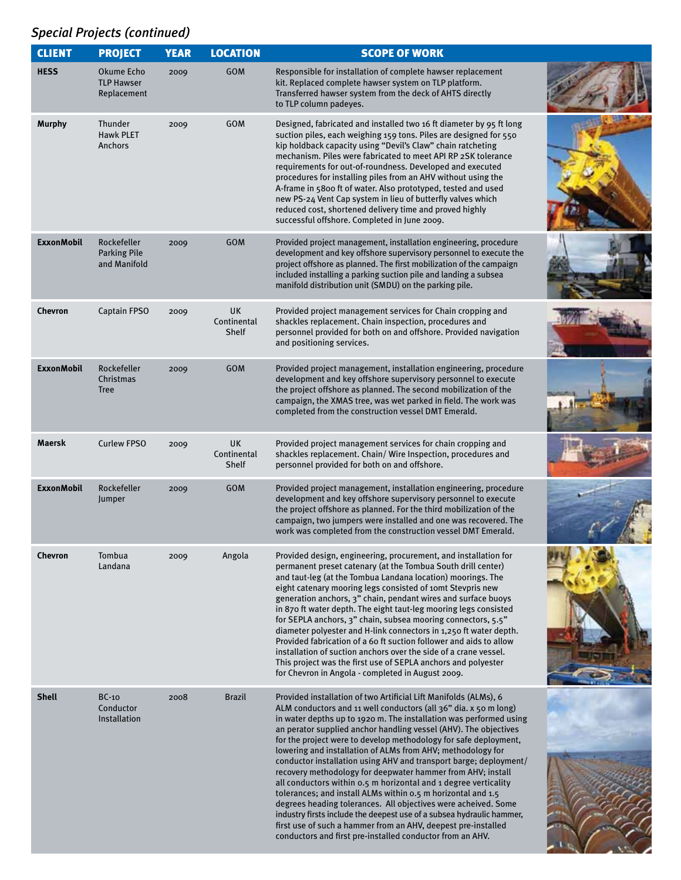#### *Special Projects (continued)*

| <b>CLIENT</b>     | <b>PROJECT</b>                                     | <b>YEAR</b> | <b>LOCATION</b>                   | <b>SCOPE OF WORK</b>                                                                                                                                                                                                                                                                                                                                                                                                                                                                                                                                                                                                                                                                                                                                                                                                                                                                                                                                              |  |
|-------------------|----------------------------------------------------|-------------|-----------------------------------|-------------------------------------------------------------------------------------------------------------------------------------------------------------------------------------------------------------------------------------------------------------------------------------------------------------------------------------------------------------------------------------------------------------------------------------------------------------------------------------------------------------------------------------------------------------------------------------------------------------------------------------------------------------------------------------------------------------------------------------------------------------------------------------------------------------------------------------------------------------------------------------------------------------------------------------------------------------------|--|
| <b>HESS</b>       | Okume Echo<br><b>TLP Hawser</b><br>Replacement     | 2009        | <b>GOM</b>                        | Responsible for installation of complete hawser replacement<br>kit. Replaced complete hawser system on TLP platform.<br>Transferred hawser system from the deck of AHTS directly<br>to TLP column padeyes.                                                                                                                                                                                                                                                                                                                                                                                                                                                                                                                                                                                                                                                                                                                                                        |  |
| <b>Murphy</b>     | Thunder<br><b>Hawk PLET</b><br>Anchors             | 2009        | <b>GOM</b>                        | Designed, fabricated and installed two 16 ft diameter by 95 ft long<br>suction piles, each weighing 159 tons. Piles are designed for 550<br>kip holdback capacity using "Devil's Claw" chain ratcheting<br>mechanism. Piles were fabricated to meet API RP 2SK tolerance<br>requirements for out-of-roundness. Developed and executed<br>procedures for installing piles from an AHV without using the<br>A-frame in 5800 ft of water. Also prototyped, tested and used<br>new PS-24 Vent Cap system in lieu of butterfly valves which<br>reduced cost, shortened delivery time and proved highly<br>successful offshore. Completed in June 2009.                                                                                                                                                                                                                                                                                                                 |  |
| <b>ExxonMobil</b> | Rockefeller<br><b>Parking Pile</b><br>and Manifold | 2009        | GOM                               | Provided project management, installation engineering, procedure<br>development and key offshore supervisory personnel to execute the<br>project offshore as planned. The first mobilization of the campaign<br>included installing a parking suction pile and landing a subsea<br>manifold distribution unit (SMDU) on the parking pile.                                                                                                                                                                                                                                                                                                                                                                                                                                                                                                                                                                                                                         |  |
| <b>Chevron</b>    | <b>Captain FPSO</b>                                | 2009        | <b>UK</b><br>Continental<br>Shelf | Provided project management services for Chain cropping and<br>shackles replacement. Chain inspection, procedures and<br>personnel provided for both on and offshore. Provided navigation<br>and positioning services.                                                                                                                                                                                                                                                                                                                                                                                                                                                                                                                                                                                                                                                                                                                                            |  |
| <b>ExxonMobil</b> | Rockefeller<br>Christmas<br><b>Tree</b>            | 2009        | GOM                               | Provided project management, installation engineering, procedure<br>development and key offshore supervisory personnel to execute<br>the project offshore as planned. The second mobilization of the<br>campaign, the XMAS tree, was wet parked in field. The work was<br>completed from the construction vessel DMT Emerald.                                                                                                                                                                                                                                                                                                                                                                                                                                                                                                                                                                                                                                     |  |
| <b>Maersk</b>     | <b>Curlew FPSO</b>                                 | 2009        | <b>UK</b><br>Continental<br>Shelf | Provided project management services for chain cropping and<br>shackles replacement. Chain/ Wire Inspection, procedures and<br>personnel provided for both on and offshore.                                                                                                                                                                                                                                                                                                                                                                                                                                                                                                                                                                                                                                                                                                                                                                                       |  |
| <b>ExxonMobil</b> | Rockefeller<br>Jumper                              | 2009        | <b>GOM</b>                        | Provided project management, installation engineering, procedure<br>development and key offshore supervisory personnel to execute<br>the project offshore as planned. For the third mobilization of the<br>campaign, two jumpers were installed and one was recovered. The<br>work was completed from the construction vessel DMT Emerald.                                                                                                                                                                                                                                                                                                                                                                                                                                                                                                                                                                                                                        |  |
| <b>Chevron</b>    | Tombua<br>Landana                                  | 2009        | Angola                            | Provided design, engineering, procurement, and installation for<br>permanent preset catenary (at the Tombua South drill center)<br>and taut-leg (at the Tombua Landana location) moorings. The<br>eight catenary mooring legs consisted of 10mt Stevpris new<br>generation anchors, 3" chain, pendant wires and surface buoys<br>in 870 ft water depth. The eight taut-leg mooring legs consisted<br>for SEPLA anchors, 3" chain, subsea mooring connectors, 5.5"<br>diameter polyester and H-link connectors in 1,250 ft water depth.<br>Provided fabrication of a 60 ft suction follower and aids to allow<br>installation of suction anchors over the side of a crane vessel.<br>This project was the first use of SEPLA anchors and polyester<br>for Chevron in Angola - completed in August 2009.                                                                                                                                                            |  |
| <b>Shell</b>      | $BC-10$<br>Conductor<br>Installation               | 2008        | <b>Brazil</b>                     | Provided installation of two Artificial Lift Manifolds (ALMs), 6<br>ALM conductors and 11 well conductors (all 36" dia. x 50 m long)<br>in water depths up to 1920 m. The installation was performed using<br>an perator supplied anchor handling vessel (AHV). The objectives<br>for the project were to develop methodology for safe deployment,<br>lowering and installation of ALMs from AHV; methodology for<br>conductor installation using AHV and transport barge; deployment/<br>recovery methodology for deepwater hammer from AHV; install<br>all conductors within 0.5 m horizontal and 1 degree verticality<br>tolerances; and install ALMs within 0.5 m horizontal and 1.5<br>degrees heading tolerances. All objectives were acheived. Some<br>industry firsts include the deepest use of a subsea hydraulic hammer,<br>first use of such a hammer from an AHV, deepest pre-installed<br>conductors and first pre-installed conductor from an AHV. |  |